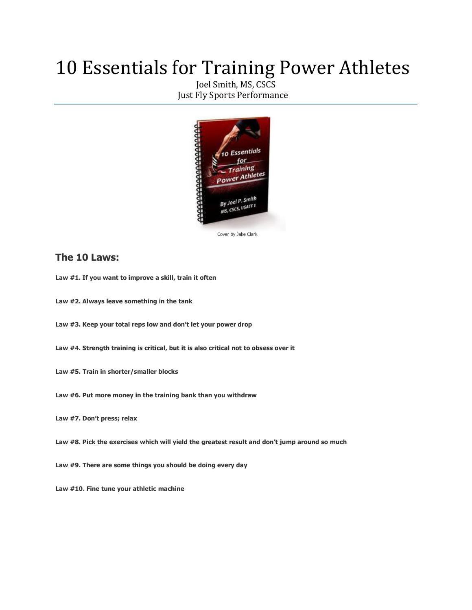# 10 Essentials for Training Power Athletes

[Joel Smith, MS, CSCS](http://www.facebook.com/#!/joel.smith.129) Just Fly Sports Performance



[Cover by Jake Clark](http://www.facebook.com/#!/jake.clark.505)

## **The 10 Laws:**

- **Law #1. If you want to improve a skill, train it often**
- **Law #2. Always leave something in the tank**
- **Law #3. Keep your total reps low and don't let your power drop**
- **Law #4. Strength training is critical, but it is also critical not to obsess over it**
- **Law #5. Train in shorter/smaller blocks**
- **Law #6. Put more money in the training bank than you withdraw**
- **Law #7. Don't press; relax**
- **Law #8. Pick the exercises which will yield the greatest result and don't jump around so much**
- **Law #9. There are some things you should be doing every day**
- **Law #10. Fine tune your athletic machine**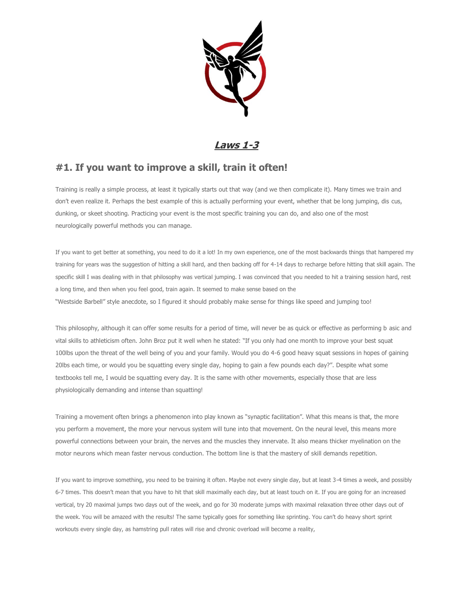

# **Laws 1-3**

# **#1. If you want to improve a skill, train it often!**

Training is really a simple process, at least it typically starts out that way (and we then complicate it). Many times we train and don't even realize it. Perhaps the best example of this is actually performing your event, whether that be long jumping, dis cus, dunking, or skeet shooting. Practicing your event is the most specific training you can do, and also one of the most neurologically powerful methods you can manage.

If you want to get better at something, you need to do it a lot! In my own experience, one of the most backwards things that hampered my training for years was the suggestion of hitting a skill hard, and then backing off for 4-14 days to recharge before hitting that skill again. The specific skill I was dealing with in that philosophy was vertical jumping. I was convinced that you needed to hit a training session hard, rest a long time, and then when you feel good, train again. It seemed to make sense based on the "Westside Barbell" style anecdote, so I figured it should probably make sense for things like speed and jumping too!

This philosophy, although it can offer some results for a period of time, will never be as quick or effective as performing b asic and vital skills to athleticism often. John Broz put it well when he stated: "If you only had one month to improve your best squat 100lbs upon the threat of the well being of you and your family. Would you do 4-6 good heavy squat sessions in hopes of gaining 20lbs each time, or would you be squatting every single day, hoping to gain a few pounds each day?". Despite what some textbooks tell me, I would be squatting every day. It is the same with other movements, especially those that are less physiologically demanding and intense than squatting!

Training a movement often brings a phenomenon into play known as "synaptic facilitation". What this means is that, the more you perform a movement, the more your nervous system will tune into that movement. On the neural level, this means more powerful connections between your brain, the nerves and the muscles they innervate. It also means thicker myelination on the motor neurons which mean faster nervous conduction. The bottom line is that the mastery of skill demands repetition.

If you want to improve something, you need to be training it often. Maybe not every single day, but at least 3-4 times a week, and possibly 6-7 times. This doesn't mean that you have to hit that skill maximally each day, but at least touch on it. If you are going for an increased vertical, try 20 maximal jumps two days out of the week, and go for 30 moderate jumps with maximal relaxation three other days out of the week. You will be amazed with the results! The same typically goes for something like sprinting. You can't do heavy short sprint workouts every single day, as hamstring pull rates will rise and chronic overload will become a reality,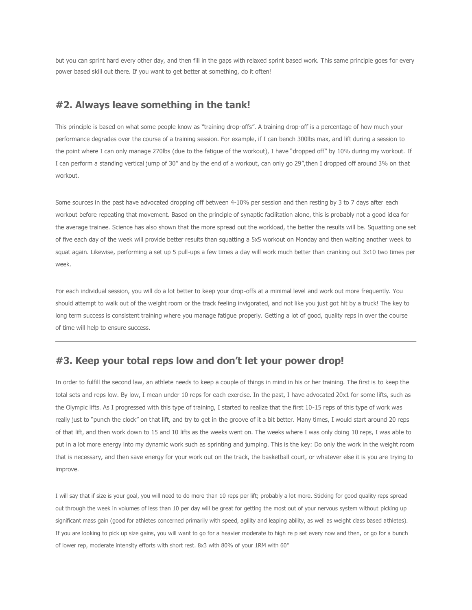but you can sprint hard every other day, and then fill in the gaps with relaxed sprint based work. This same principle goes for every power based skill out there. If you want to get better at something, do it often!

#### **#2. Always leave something in the tank!**

This principle is based on what some people know as "training drop-offs". A training drop-off is a percentage of how much your performance degrades over the course of a training session. For example, if I can bench 300lbs max, and lift during a session to the point where I can only manage 270lbs (due to the fatigue of the workout), I have "dropped off" by 10% during my workout. If I can perform a standing vertical jump of 30" and by the end of a workout, can only go 29",then I dropped off around 3% on that workout.

Some sources in the past have advocated dropping off between 4-10% per session and then resting by 3 to 7 days after each workout before repeating that movement. Based on the principle of synaptic facilitation alone, this is probably not a good idea for the average trainee. Science has also shown that the more spread out the workload, the better the results will be. Squatting one set of five each day of the week will provide better results than squatting a 5x5 workout on Monday and then waiting another week to squat again. Likewise, performing a set up 5 pull-ups a few times a day will work much better than cranking out 3x10 two times per week.

For each individual session, you will do a lot better to keep your drop-offs at a minimal level and work out more frequently. You should attempt to walk out of the weight room or the track feeling invigorated, and not like you just got hit by a truck! The key to long term success is consistent training where you manage fatigue properly. Getting a lot of good, quality reps in over the course of time will help to ensure success.

#### **#3. Keep your total reps low and don't let your power drop!**

In order to fulfill the second law, an athlete needs to keep a couple of things in mind in his or her training. The first is to keep the total sets and reps low. By low, I mean under 10 reps for each exercise. In the past, I have advocated 20x1 for some lifts, such as the Olympic lifts. As I progressed with this type of training, I started to realize that the first 10-15 reps of this type of work was really just to "punch the clock" on that lift, and try to get in the groove of it a bit better. Many times, I would start around 20 reps of that lift, and then work down to 15 and 10 lifts as the weeks went on. The weeks where I was only doing 10 reps, I was able to put in a lot more energy into my dynamic work such as sprinting and jumping. This is the key: Do only the work in the weight room that is necessary, and then save energy for your work out on the track, the basketball court, or whatever else it is you are trying to improve.

I will say that if size is your goal, you will need to do more than 10 reps per lift; probably a lot more. Sticking for good quality reps spread out through the week in volumes of less than 10 per day will be great for getting the most out of your nervous system without picking up significant mass gain (good for athletes concerned primarily with speed, agility and leaping ability, as well as weight class based athletes). If you are looking to pick up size gains, you will want to go for a heavier moderate to high re p set every now and then, or go for a bunch of lower rep, moderate intensity efforts with short rest. 8x3 with 80% of your 1RM with 60"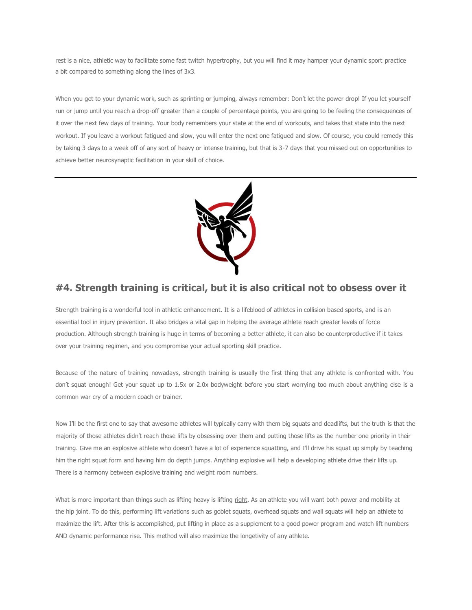rest is a nice, athletic way to facilitate some fast twitch hypertrophy, but you will find it may hamper your dynamic sport practice a bit compared to something along the lines of 3x3.

When you get to your dynamic work, such as sprinting or jumping, always remember: Don't let the power drop! If you let yourself run or jump until you reach a drop-off greater than a couple of percentage points, you are going to be feeling the consequences of it over the next few days of training. Your body remembers your state at the end of workouts, and takes that state into the next workout. If you leave a workout fatigued and slow, you will enter the next one fatigued and slow. Of course, you could remedy this by taking 3 days to a week off of any sort of heavy or intense training, but that is 3-7 days that you missed out on opportunities to achieve better neurosynaptic facilitation in your skill of choice.



# **#4. Strength training is critical, but it is also critical not to obsess over it**

Strength training is a wonderful tool in athletic enhancement. It is a lifeblood of athletes in collision based sports, and is an essential tool in injury prevention. It also bridges a vital gap in helping the average athlete reach greater levels of force production. Although strength training is huge in terms of becoming a better athlete, it can also be counterproductive if it takes over your training regimen, and you compromise your actual sporting skill practice.

Because of the nature of training nowadays, strength training is usually the first thing that any athlete is confronted with. You don't squat enough! Get your squat up to 1.5x or 2.0x bodyweight before you start worrying too much about anything else is a common war cry of a modern coach or trainer.

Now I'll be the first one to say that awesome athletes will typically carry with them big squats and deadlifts, but the truth is that the majority of those athletes didn't reach those lifts by obsessing over them and putting those lifts as the number one priority in their training. Give me an explosive athlete who doesn't have a lot of experience squatting, and I'll drive his squat up simply by teaching him the right squat form and having him do depth jumps. Anything explosive will help a developing athlete drive their lifts up. There is a harmony between explosive training and weight room numbers.

What is more important than things such as lifting heavy is lifting right. As an athlete you will want both power and mobility at the hip joint. To do this, performing lift variations such as goblet squats, overhead squats and wall squats will help an athlete to maximize the lift. After this is accomplished, put lifting in place as a supplement to a good power program and watch lift numbers AND dynamic performance rise. This method will also maximize the longetivity of any athlete.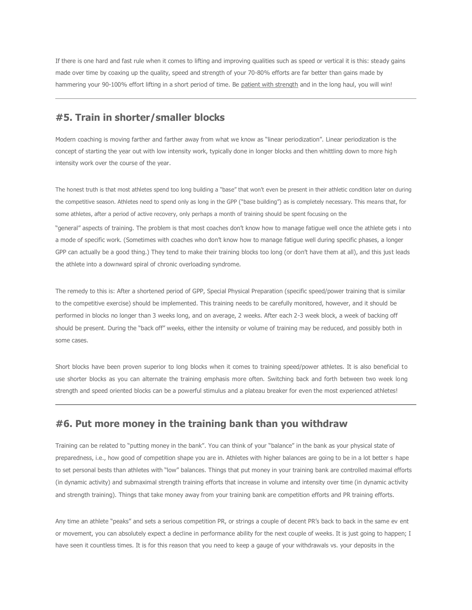If there is one hard and fast rule when it comes to lifting and improving qualities such as speed or vertical it is this: steady gains made over time by coaxing up the quality, speed and strength of your 70-80% efforts are far better than gains made by hammering your 90-100% effort lifting in a short period of time. Be patient with strength and in the long haul, you will win!

#### **#5. Train in shorter/smaller blocks**

Modern coaching is moving farther and farther away from what we know as "linear periodization". Linear periodization is the concept of starting the year out with low intensity work, typically done in longer blocks and then whittling down to more high intensity work over the course of the year.

The honest truth is that most athletes spend too long building a "base" that won't even be present in their athletic condition later on during the competitive season. Athletes need to spend only as long in the GPP ("base building") as is completely necessary. This means that, for some athletes, after a period of active recovery, only perhaps a month of training should be spent focusing on the

"general" aspects of training. The problem is that most coaches don't know how to manage fatigue well once the athlete gets i nto a mode of specific work. (Sometimes with coaches who don't know how to manage fatigue well during specific phases, a longer GPP can actually be a good thing.) They tend to make their training blocks too long (or don't have them at all), and this just leads the athlete into a downward spiral of chronic overloading syndrome.

The remedy to this is: After a shortened period of GPP, Special Physical Preparation (specific speed/power training that is similar to the competitive exercise) should be implemented. This training needs to be carefully monitored, however, and it should be performed in blocks no longer than 3 weeks long, and on average, 2 weeks. After each 2-3 week block, a week of backing off should be present. During the "back off" weeks, either the intensity or volume of training may be reduced, and possibly both in some cases.

Short blocks have been proven superior to long blocks when it comes to training speed/power athletes. It is also beneficial to use shorter blocks as you can alternate the training emphasis more often. Switching back and forth between two week long strength and speed oriented blocks can be a powerful stimulus and a plateau breaker for even the most experienced athletes!

### **#6. Put more money in the training bank than you withdraw**

Training can be related to "putting money in the bank". You can think of your "balance" in the bank as your physical state of preparedness, i.e., how good of competition shape you are in. Athletes with higher balances are going to be in a lot better s hape to set personal bests than athletes with "low" balances. Things that put money in your training bank are controlled maximal efforts (in dynamic activity) and submaximal strength training efforts that increase in volume and intensity over time (in dynamic activity and strength training). Things that take money away from your training bank are competition efforts and PR training efforts.

Any time an athlete "peaks" and sets a serious competition PR, or strings a couple of decent PR's back to back in the same ev ent or movement, you can absolutely expect a decline in performance ability for the next couple of weeks. It is just going to happen; I have seen it countless times. It is for this reason that you need to keep a gauge of your withdrawals vs. your deposits in the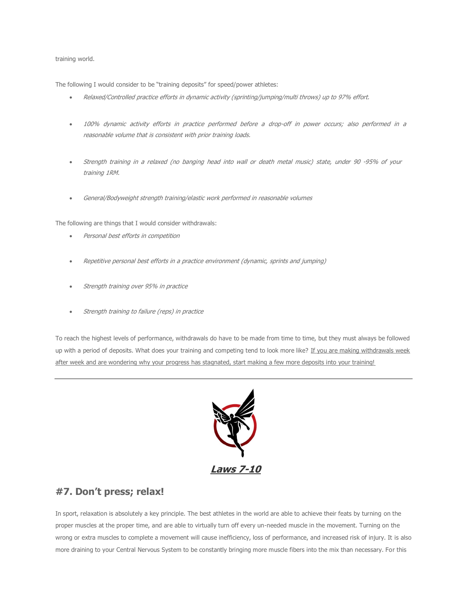#### training world.

The following I would consider to be "training deposits" for speed/power athletes:

- Relaxed/Controlled practice efforts in dynamic activity (sprinting/jumping/multi throws) up to 97% effort.
- 100% dynamic activity efforts in practice performed before a drop-off in power occurs; also performed in a reasonable volume that is consistent with prior training loads.
- Strength training in a relaxed (no banging head into wall or death metal music) state, under 90 -95% of your training 1RM.
- General/Bodyweight strength training/elastic work performed in reasonable volumes

The following are things that I would consider withdrawals:

- Personal best efforts in competition
- Repetitive personal best efforts in a practice environment (dynamic, sprints and jumping)
- Strength training over 95% in practice
- Strength training to failure (reps) in practice

To reach the highest levels of performance, withdrawals do have to be made from time to time, but they must always be followed up with a period of deposits. What does your training and competing tend to look more like? If you are making withdrawals week after week and are wondering why your progress has stagnated, start making a few more deposits into your training!



# **#7. Don't press; relax!**

In sport, relaxation is absolutely a key principle. The best athletes in the world are able to achieve their feats by turning on the proper muscles at the proper time, and are able to virtually turn off every un-needed muscle in the movement. Turning on the wrong or extra muscles to complete a movement will cause inefficiency, loss of performance, and increased risk of injury. It is also more draining to your Central Nervous System to be constantly bringing more muscle fibers into the mix than necessary. For this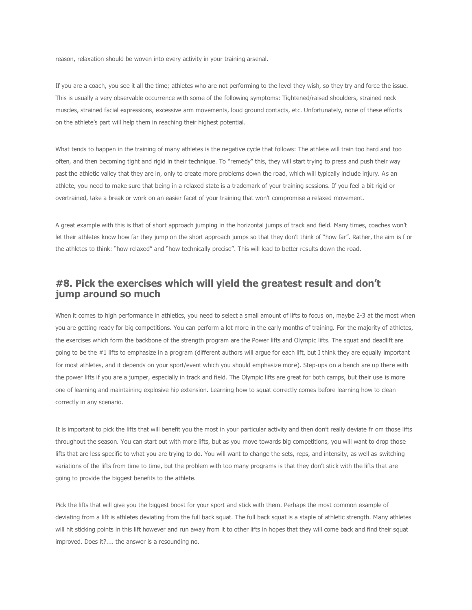reason, relaxation should be woven into every activity in your training arsenal.

If you are a coach, you see it all the time; athletes who are not performing to the level they wish, so they try and force the issue. This is usually a very observable occurrence with some of the following symptoms: Tightened/raised shoulders, strained neck muscles, strained facial expressions, excessive arm movements, loud ground contacts, etc. Unfortunately, none of these efforts on the athlete's part will help them in reaching their highest potential.

What tends to happen in the training of many athletes is the negative cycle that follows: The athlete will train too hard and too often, and then becoming tight and rigid in their technique. To "remedy" this, they will start trying to press and push their way past the athletic valley that they are in, only to create more problems down the road, which will typically include injury. As an athlete, you need to make sure that being in a relaxed state is a trademark of your training sessions. If you feel a bit rigid or overtrained, take a break or work on an easier facet of your training that won't compromise a relaxed movement.

A great example with this is that of short approach jumping in the horizontal jumps of track and field. Many times, coaches won't let their athletes know how far they jump on the short approach jumps so that they don't think of "how far". Rather, the aim is f or the athletes to think: "how relaxed" and "how technically precise". This will lead to better results down the road.

# **#8. Pick the exercises which will yield the greatest result and don't jump around so much**

When it comes to high performance in athletics, you need to select a small amount of lifts to focus on, maybe 2-3 at the most when you are getting ready for big competitions. You can perform a lot more in the early months of training. For the majority of athletes, the exercises which form the backbone of the strength program are the Power lifts and Olympic lifts. The squat and deadlift are going to be the #1 lifts to emphasize in a program (different authors will argue for each lift, but I think they are equally important for most athletes, and it depends on your sport/event which you should emphasize more). Step-ups on a bench are up there with the power lifts if you are a jumper, especially in track and field. The Olympic lifts are great for both camps, but their use is more one of learning and maintaining explosive hip extension. Learning how to squat correctly comes before learning how to clean correctly in any scenario.

It is important to pick the lifts that will benefit you the most in your particular activity and then don't really deviate fr om those lifts throughout the season. You can start out with more lifts, but as you move towards big competitions, you will want to drop those lifts that are less specific to what you are trying to do. You will want to change the sets, reps, and intensity, as well as switching variations of the lifts from time to time, but the problem with too many programs is that they don't stick with the lifts that are going to provide the biggest benefits to the athlete.

Pick the lifts that will give you the biggest boost for your sport and stick with them. Perhaps the most common example of deviating from a lift is athletes deviating from the full back squat. The full back squat is a staple of athletic strength. Many athletes will hit sticking points in this lift however and run away from it to other lifts in hopes that they will come back and find their squat improved. Does it?.... the answer is a resounding no.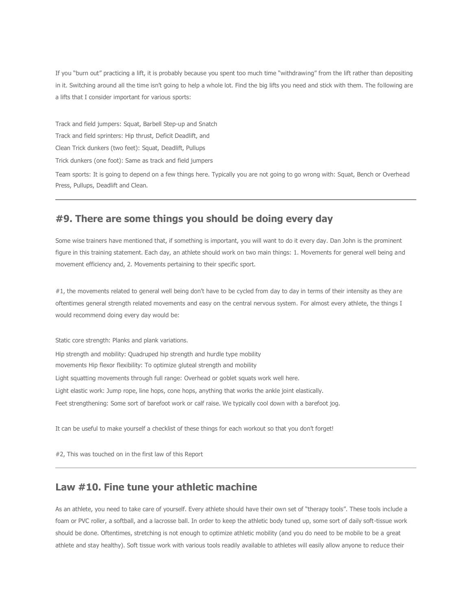If you "burn out" practicing a lift, it is probably because you spent too much time "withdrawing" from the lift rather than depositing in it. Switching around all the time isn't going to help a whole lot. Find the big lifts you need and stick with them. The following are a lifts that I consider important for various sports:

Track and field jumpers: Squat, Barbell Step-up and Snatch Track and field sprinters: Hip thrust, Deficit Deadlift, and Clean Trick dunkers (two feet): Squat, Deadlift, Pullups Trick dunkers (one foot): Same as track and field jumpers

Team sports: It is going to depend on a few things here. Typically you are not going to go wrong with: Squat, Bench or Overhead Press, Pullups, Deadlift and Clean.

# **#9. There are some things you should be doing every day**

Some wise trainers have mentioned that, if something is important, you will want to do it every day. Dan John is the prominent figure in this training statement. Each day, an athlete should work on two main things: 1. Movements for general well being and movement efficiency and, 2. Movements pertaining to their specific sport.

#1, the movements related to general well being don't have to be cycled from day to day in terms of their intensity as they are oftentimes general strength related movements and easy on the central nervous system. For almost every athlete, the things I would recommend doing every day would be:

Static core strength: Planks and plank variations.

Hip strength and mobility: Quadruped hip strength and hurdle type mobility movements Hip flexor flexibility: To optimize gluteal strength and mobility Light squatting movements through full range: Overhead or goblet squats work well here. Light elastic work: Jump rope, line hops, cone hops, anything that works the ankle joint elastically. Feet strengthening: Some sort of barefoot work or calf raise. We typically cool down with a barefoot jog.

It can be useful to make yourself a checklist of these things for each workout so that you don't forget!

#2, This was touched on in the first law of this Report

#### **Law #10. Fine tune your athletic machine**

As an athlete, you need to take care of yourself. Every athlete should have their own set of "therapy tools". These tools include a foam or PVC roller, a softball, and a lacrosse ball. In order to keep the athletic body tuned up, some sort of daily soft-tissue work should be done. Oftentimes, stretching is not enough to optimize athletic mobility (and you do need to be mobile to be a great athlete and stay healthy). Soft tissue work with various tools readily available to athletes will easily allow anyone to reduce their